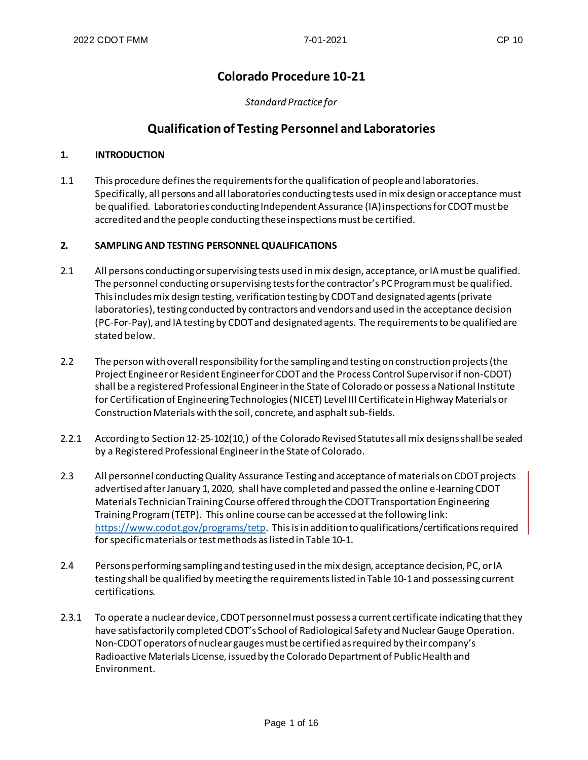# **Colorado Procedure 10-21**

*Standard Practice for*

# **Qualification of Testing Personnel and Laboratories**

#### **1. INTRODUCTION**

1.1 This procedure defines the requirements for the qualification of people and laboratories. Specifically, all persons and all laboratories conducting tests used inmix design oracceptance must be qualified. Laboratories conducting Independent Assurance (IA) inspections for CDOT must be accredited and the people conducting these inspections must be certified.

#### **2. SAMPLING AND TESTING PERSONNEL QUALIFICATIONS**

- 2.1 All persons conducting or supervising tests used in mix design, acceptance, or IA must be qualified. The personnel conducting or supervising tests for the contractor's PC Program must be qualified. This includes mix design testing, verification testing by CDOT and designated agents (private laboratories), testing conducted by contractors and vendors and used in the acceptance decision (PC-For-Pay), and IA testing by CDOT and designated agents. The requirements to be qualified are stated below.
- 2.2 The person with overall responsibility for the sampling and testingon construction projects (the Project Engineer or Resident Engineer for CDOT and the Process Control Supervisor if non-CDOT) shall be a registered Professional Engineer in the State of Colorado or possess a National Institute for Certification of Engineering Technologies (NICET) Level III Certificate in Highway Materials or Construction Materials with the soil, concrete, and asphalt sub-fields.
- 2.2.1 According to Section 12-25-102(10,) of the Colorado Revised Statutes all mix designs shall be sealed by a Registered Professional Engineer in the State of Colorado.
- 2.3 All personnel conducting Quality Assurance Testing and acceptance of materials on CDOT projects advertised after January 1, 2020, shall have completed and passed the online e-learning CDOT Materials Technician Training Course offered through the CDOT Transportation Engineering Training Program (TETP). This online course can be accessed at the following link: [https://www.codot.gov/programs/tetp.](https://www.codot.gov/programs/tetp) This is in addition to qualifications/certifications required for specific materials or test methods as listed in Table 10-1.
- 2.4 Persons performing sampling and testing used in the mix design, acceptance decision, PC, or IA testing shall be qualified by meeting the requirements listed in Table 10-1and possessing current certifications.
- 2.3.1 To operate a nuclear device, CDOT personnel must possess a current certificate indicating that they have satisfactorily completed CDOT's School of Radiological Safety and Nuclear Gauge Operation. Non-CDOT operators of nuclear gauges must be certified as required by their company's Radioactive Materials License, issued by the Colorado Department of Public Health and Environment.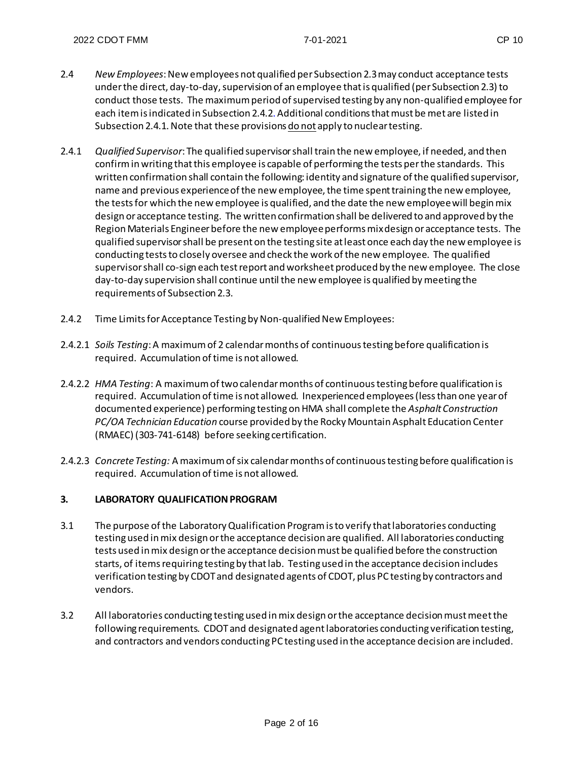- 2.4 *New Employees*: New employees not qualified per Subsection 2.3 may conduct acceptance tests under the direct, day-to-day, supervision of an employee that is qualified (per Subsection 2.3) to conduct those tests. The maximum period of supervised testing by any non-qualified employee for each item is indicated in Subsection 2.4.2. Additional conditions that must be met are listed in Subsection 2.4.1. Note that these provisions do not apply to nuclear testing.
- 2.4.1 *Qualified Supervisor*: The qualified supervisor shall train the new employee, if needed, and then confirm in writing that this employee is capable of performing the tests perthe standards. This written confirmation shall contain the following: identity and signature of the qualified supervisor, name and previous experience of the new employee, the time spent training the new employee, the tests for which the new employee is qualified, and the date the new employee will begin mix design or acceptance testing. The written confirmation shall be delivered to and approved by the Region Materials Engineer before the new employee performs mix design or acceptance tests. The qualified supervisor shall be present on the testing site at least once each day the new employee is conducting tests to closely oversee and check the work of the new employee. The qualified supervisor shall co-sign each test report and worksheet produced by the new employee. The close day-to-day supervision shall continue until the new employee is qualified by meeting the requirements of Subsection 2.3.
- 2.4.2 Time Limits for Acceptance Testing by Non-qualified New Employees:
- 2.4.2.1 *Soils Testing*: A maximum of 2 calendar months of continuous testing before qualification is required. Accumulation of time is not allowed.
- 2.4.2.2 *HMA Testing*: A maximum of two calendar months of continuous testing before qualification is required. Accumulation of time is not allowed. Inexperienced employees (less than one year of documented experience) performing testing on HMA shall complete the *Asphalt Construction PC/OA Technician Education* course provided by the Rocky Mountain Asphalt Education Center (RMAEC) (303-741-6148) before seeking certification.
- 2.4.2.3 *ConcreteTesting:* A maximum of six calendar months of continuous testing before qualification is required. Accumulation of time is not allowed.

### **3. LABORATORY QUALIFICATION PROGRAM**

- 3.1 The purpose of the Laboratory Qualification Program is to verify that laboratories conducting testing used in mix design or the acceptance decision are qualified. All laboratories conducting tests used in mix design or the acceptance decision must be qualified before the construction starts, of items requiring testing by that lab. Testing used in the acceptance decision includes verification testing by CDOT and designated agents of CDOT, plus PC testing by contractors and vendors.
- 3.2 All laboratories conducting testing used in mix design or the acceptance decision must meet the following requirements. CDOT and designated agent laboratories conducting verification testing, and contractors and vendors conducting PC testing used in the acceptance decision are included.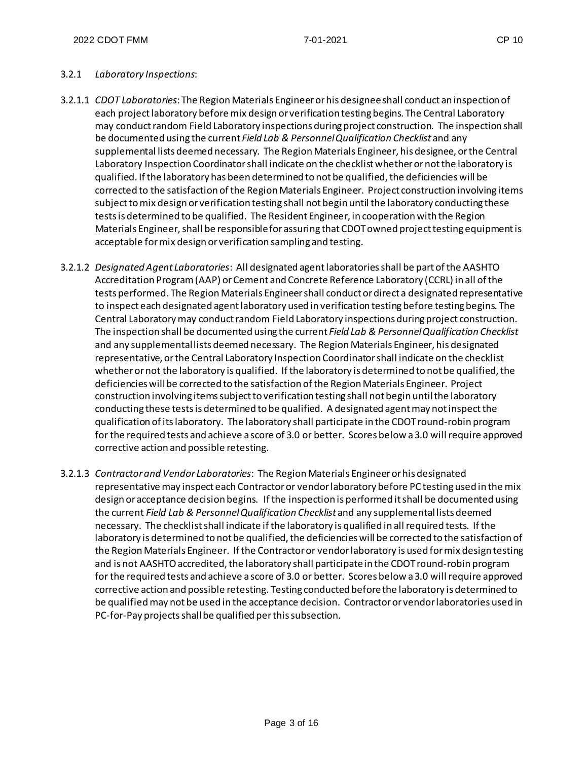#### 3.2.1 *Laboratory Inspections*:

- 3.2.1.1 *CDOT Laboratories*: The Region Materials Engineer or his designee shall conduct an inspection of each project laboratory before mix design or verification testing begins. The Central Laboratory may conduct random Field Laboratory inspections during project construction. The inspection shall be documented using the current *Field Lab & Personnel Qualification Checklist* and any supplemental lists deemed necessary. The RegionMaterials Engineer, his designee, or the Central Laboratory Inspection Coordinatorshall indicate on the checklist whether or not the laboratory is qualified. If the laboratory has been determined to not be qualified, the deficiencies will be corrected to the satisfaction of the Region Materials Engineer. Project construction involving items subject to mix design or verification testing shall not begin until the laboratory conducting these tests is determined to be qualified. The Resident Engineer, in cooperation with the Region Materials Engineer, shall be responsible for assuring that CDOT owned project testing equipment is acceptable for mix design or verification sampling and testing.
- 3.2.1.2 *Designated Agent Laboratories*: All designated agent laboratories shall be part of the AASHTO Accreditation Program (AAP) or Cement and Concrete Reference Laboratory (CCRL) in all of the tests performed. The Region Materials Engineer shall conduct or direct a designated representative to inspect each designated agent laboratory used in verification testing before testing begins. The Central Laboratory may conduct random Field Laboratory inspections during project construction. The inspection shall be documented using the current *Field Lab & Personnel Qualification Checklist* and any supplemental lists deemed necessary. The Region Materials Engineer, his designated representative, or the Central Laboratory Inspection Coordinatorshall indicate on the checklist whether or not the laboratory is qualified. If the laboratory is determined to not be qualified, the deficiencies will be corrected to the satisfaction of the Region Materials Engineer. Project construction involving items subject to verification testing shall not begin until the laboratory conducting these tests is determined to be qualified. A designated agent may not inspectthe qualification of itslaboratory. The laboratory shall participate in the CDOT round-robin program for the required tests and achieve a score of 3.0 or better. Scores below a 3.0 will require approved corrective action and possible retesting.
- 3.2.1.3 *Contractor and Vendor Laboratories*: The Region Materials Engineer or his designated representative may inspect each Contractor or vendor laboratory before PC testing used in the mix design or acceptance decision begins. If the inspection is performed it shall be documented using the current *Field Lab & Personnel Qualification Checklist* and any supplemental lists deemed necessary. The checklist shall indicate if the laboratory is qualified in all required tests. If the laboratory is determined to not be qualified, the deficiencies will be corrected to the satisfaction of the Region Materials Engineer. If the Contractor or vendor laboratory is used for mix design testing and is not AASHTO accredited, the laboratory shall participate in the CDOT round-robin program for the required tests and achieve a score of 3.0 or better. Scores below a 3.0 will require approved corrective action and possible retesting. Testing conducted before the laboratory is determined to be qualified may not be used in the acceptance decision. Contractor or vendor laboratories used in PC-for-Pay projects shall be qualified perthis subsection.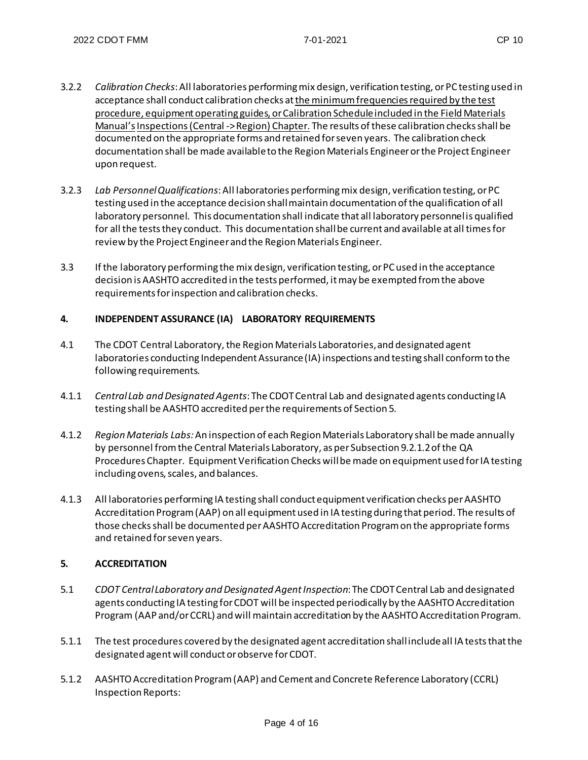- 3.2.2 *Calibration Checks*: All laboratories performing mix design, verification testing, or PC testing used in acceptance shall conduct calibration checks at the minimum frequencies required by the test procedure, equipment operating guides, or Calibration Schedule included in the Field Materials Manual'sInspections (Central -> Region) Chapter. The results of these calibration checks shall be documented on the appropriate forms and retained for seven years. The calibration check documentation shall be made available to the Region Materials Engineer or the Project Engineer upon request.
- 3.2.3 *Lab Personnel Qualifications*: All laboratories performing mix design, verification testing, or PC testing used in the acceptance decision shall maintain documentation of the qualification of all laboratory personnel. This documentation shall indicate that all laboratory personnel is qualified for all the tests they conduct. This documentation shallbe current and available at all times for review by the Project Engineer and the Region Materials Engineer.
- 3.3 If the laboratory performing the mix design, verification testing, or PC used in the acceptance decision is AASHTO accredited in the tests performed, it may be exempted from the above requirements for inspection and calibration checks.

### **4. INDEPENDENT ASSURANCE (IA) LABORATORY REQUIREMENTS**

- 4.1 The CDOT Central Laboratory, the Region Materials Laboratories, and designated agent laboratories conducting Independent Assurance (IA) inspections and testing shall conform to the following requirements.
- 4.1.1 *Central Lab and Designated Agents*: The CDOT Central Lab and designated agents conducting IA testing shall be AASHTO accredited perthe requirements of Section 5.
- 4.1.2 *Region Materials Labs:*An inspection of each Region Materials Laboratory shall be made annually by personnel from the Central Materials Laboratory, as per Subsection 9.2.1.2 of the QA Procedures Chapter. Equipment Verification Checks will be made on equipment used for IA testing including ovens, scales, and balances.
- 4.1.3 All laboratories performing IA testing shall conduct equipment verification checks per AASHTO Accreditation Program (AAP) on all equipment used in IA testing during that period. The results of those checks shall be documented perAASHTO Accreditation Program on the appropriate forms and retained for seven years.

### **5. ACCREDITATION**

- 5.1 *CDOT Central Laboratory and Designated Agent Inspection*: The CDOT Central Lab and designated agents conducting IA testing for CDOT will be inspected periodically by the AASHTO Accreditation Program (AAP and/or CCRL) and will maintain accreditation by the AASHTO Accreditation Program.
- 5.1.1 The test procedures covered by the designated agent accreditation shall include all IA tests that the designated agent will conduct or observe for CDOT.
- 5.1.2 AASHTO Accreditation Program (AAP) and Cement and Concrete Reference Laboratory (CCRL) Inspection Reports: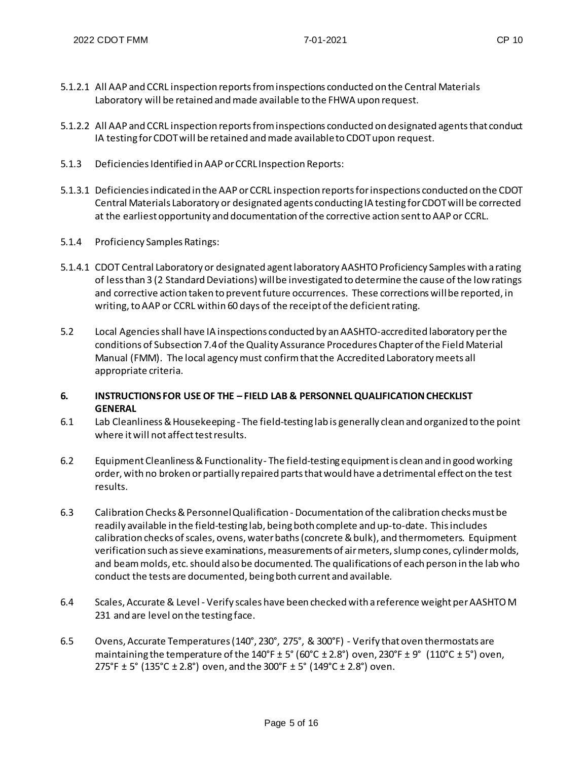- 5.1.2.1 All AAP and CCRL inspection reports from inspections conducted on the Central Materials Laboratory will be retained and made available to the FHWA upon request.
- 5.1.2.2 All AAP and CCRL inspection reports from inspections conducted on designated agents that conduct IA testing for CDOT will be retained and made available to CDOT upon request.
- 5.1.3 Deficiencies Identified in AAP or CCRL Inspection Reports:
- 5.1.3.1 Deficiencies indicated in the AAP or CCRL inspection reports for inspections conducted on the CDOT Central Materials Laboratory or designated agents conducting IA testing for CDOT will be corrected at the earliest opportunity and documentation of the corrective action sent to AAP or CCRL.
- 5.1.4 Proficiency Samples Ratings:
- 5.1.4.1 CDOT Central Laboratory or designated agent laboratory AASHTO Proficiency Samples with a rating of less than 3 (2 Standard Deviations) will be investigated to determine the cause of the low ratings and corrective action taken to prevent future occurrences. These corrections will be reported, in writing, to AAP or CCRL within 60 days of the receipt of the deficient rating.
- 5.2 Local Agencies shall have IA inspections conducted by an AASHTO-accredited laboratory perthe conditions of Subsection 7.4 of the Quality Assurance Procedures Chapter of the Field Material Manual (FMM). The local agency must confirm that the Accredited Laboratory meets all appropriate criteria.
- **6. INSTRUCTIONS FOR USE OF THE – FIELD LAB & PERSONNEL QUALIFICATION CHECKLIST GENERAL**
- 6.1 Lab Cleanliness & Housekeeping The field-testing lab is generally clean and organized to the point where it will not affect test results.
- 6.2 Equipment Cleanliness & Functionality The field-testing equipment is clean and in good working order, with no broken or partially repaired parts that would have a detrimental effect on the test results.
- 6.3 Calibration Checks & Personnel Qualification Documentation of the calibration checks must be readily available in the field-testing lab, being both complete and up-to-date. This includes calibration checks of scales, ovens, water baths (concrete & bulk), and thermometers. Equipment verification such as sieve examinations, measurements of air meters, slump cones, cylinder molds, and beammolds, etc. should also be documented. The qualifications of each person in the lab who conduct the tests are documented, being both current and available.
- 6.4 Scales, Accurate & Level Verify scales have been checked with a reference weight perAASHTO M 231 and are level on the testing face.
- 6.5 Ovens, Accurate Temperatures (140°, 230°, 275°, & 300°F) Verify that oven thermostats are maintaining the temperature of the 140°F ± 5° (60°C ± 2.8°) oven, 230°F ± 9° (110°C ± 5°) oven, 275°F  $\pm$  5° (135°C  $\pm$  2.8°) oven, and the 300°F  $\pm$  5° (149°C  $\pm$  2.8°) oven.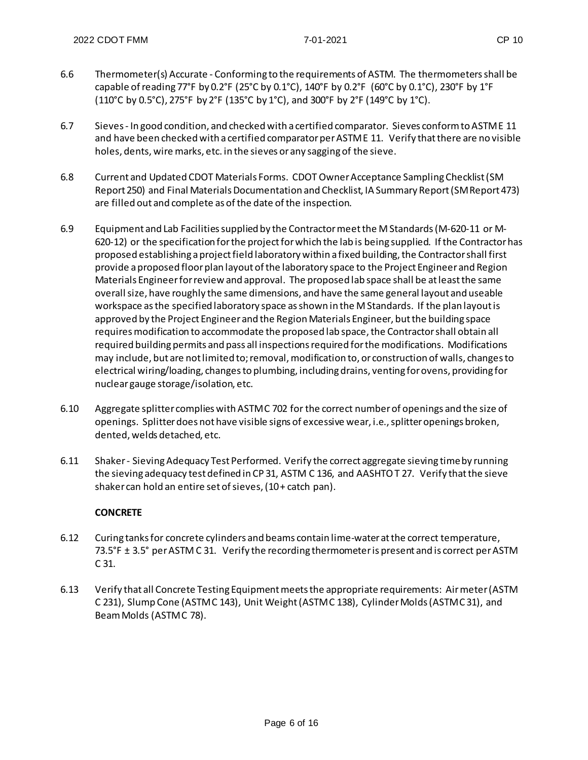- 6.6 Thermometer(s) Accurate Conforming to the requirements of ASTM. The thermometers shall be capable of reading 77°F by 0.2°F (25°C by 0.1°C), 140°F by 0.2°F (60°C by 0.1°C), 230°F by 1°F (110°C by 0.5°C), 275°F by 2°F (135°C by 1°C), and 300°F by 2°F (149°C by 1°C).
- 6.7 Sieves In good condition, and checked with a certified comparator. Sieves conform to ASTME 11 and have been checked with a certified comparator perASTM E 11. Verify that there are no visible holes, dents, wire marks, etc. in the sieves or any sagging of the sieve.
- 6.8 Current and Updated CDOT Materials Forms. CDOT Owner Acceptance Sampling Checklist (SM Report 250) and Final Materials Documentation and Checklist, IA Summary Report (SM Report 473) are filled out and complete as of the date of the inspection.
- 6.9 Equipment and Lab Facilitiessupplied by the Contractor meet the M Standards (M-620-11 or M-620-12) or the specification for the project for which the lab is being supplied. If the Contractor has proposed establishing a project field laboratory within a fixed building, the Contractor shall first provide a proposed floor plan layout of the laboratory space to the Project Engineer and Region Materials Engineer for review and approval. The proposed lab space shall be at least the same overall size, have roughly the same dimensions, and have the same general layout and useable workspace as the specified laboratory space as shown in the M Standards. If the plan layout is approved by the Project Engineer and the Region Materials Engineer, but the building space requires modification to accommodate the proposed lab space, the Contractor shall obtain all required building permits and pass all inspections required for the modifications. Modifications may include, but are not limited to; removal, modification to, or construction of walls, changes to electrical wiring/loading, changes to plumbing, including drains, venting for ovens, providing for nuclear gauge storage/isolation, etc.
- 6.10 Aggregate splitter complies with ASTM C 702 for the correct number of openings and the size of openings. Splitter does not have visible signs of excessive wear, i.e., splitter openings broken, dented, welds detached, etc.
- 6.11 Shaker Sieving Adequacy Test Performed. Verify the correct aggregate sieving time by running the sieving adequacy test defined in CP 31, ASTM C 136, and AASHTO T 27. Verify that the sieve shaker can hold an entire set of sieves, (10 + catch pan).

### **CONCRETE**

- 6.12 Curing tanks for concrete cylinders and beams contain lime-water at the correct temperature, 73.5°F ± 3.5° perASTM C 31. Verify the recording thermometer is present and is correct perASTM C 31.
- 6.13 Verify that all Concrete Testing Equipment meets the appropriate requirements: Air meter (ASTM C 231), Slump Cone (ASTM C 143), Unit Weight (ASTM C 138), Cylinder Molds (ASTM C 31), and Beam Molds (ASTMC 78).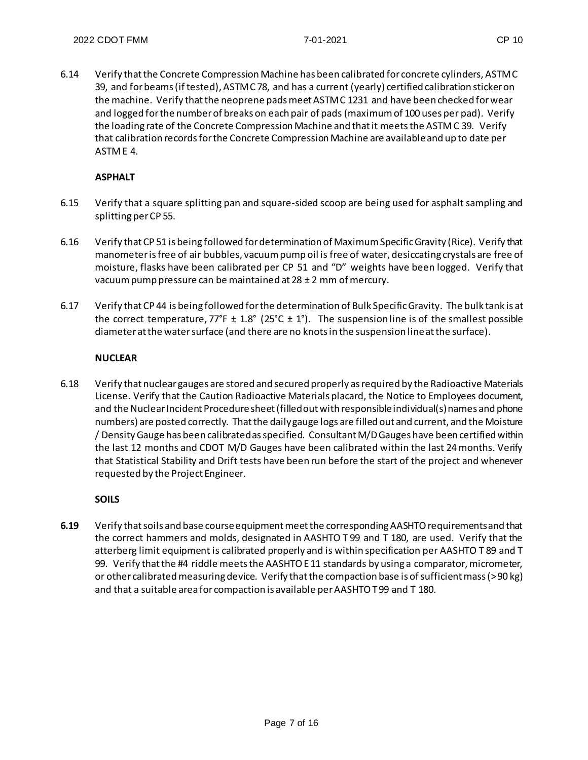6.14 Verify that the Concrete Compression Machine has been calibrated for concrete cylinders, ASTM C 39, and for beams (if tested), ASTM C 78, and has a current (yearly) certified calibration sticker on the machine. Verify that the neoprene pads meet ASTM C 1231 and have been checked for wear and logged for the number of breaks on each pair of pads (maximum of 100 uses per pad). Verify the loading rate of the Concrete Compression Machine and that it meets the ASTM C 39. Verify that calibration records for the Concrete Compression Machine are available and up to date per ASTM E 4.

## **ASPHALT**

- 6.15 Verify that a square splitting pan and square-sided scoop are being used for asphalt sampling and splitting perCP 55.
- 6.16 Verify that CP 51 is being followed for determination of Maximum Specific Gravity (Rice). Verify that manometer is free of air bubbles, vacuum pump oil is free of water, desiccating crystals are free of moisture, flasks have been calibrated per CP 51 and "D" weights have been logged. Verify that vacuum pump pressure can be maintained at 28 ± 2 mm of mercury.
- 6.17 Verify that CP 44 is being followed for the determination of Bulk Specific Gravity. The bulk tank is at the correct temperature,  $77^{\circ}F \pm 1.8^{\circ}$  (25°C  $\pm$  1°). The suspension line is of the smallest possible diameter at the water surface (and there are no knotsin the suspension lineat the surface).

### **NUCLEAR**

6.18 Verify that nuclear gauges are stored and secured properly as required by the Radioactive Materials License. Verify that the Caution Radioactive Materials placard, the Notice to Employees document, and the Nuclear Incident Procedure sheet (filled out with responsible individual(s) names and phone numbers) are posted correctly. That the daily gauge logs are filled out and current, and the Moisture / Density Gauge has been calibrated as specified. Consultant M/D Gauges have been certifiedwithin the last 12 months and CDOT M/D Gauges have been calibrated within the last 24 months. Verify that Statistical Stability and Drift tests have been run before the start of the project and whenever requested by the Project Engineer.

### **SOILS**

**6.19** Verify that soils and base course equipment meet the corresponding AASHTO requirements and that the correct hammers and molds, designated in AASHTO T 99 and T 180, are used. Verify that the atterberg limit equipment is calibrated properly and is within specification per AASHTO T 89 and T 99. Verify that the #4 riddle meets the AASHTO E 11 standards by using a comparator, micrometer, or other calibrated measuring device. Verify thatthe compaction base is of sufficient mass (> 90 kg) and that a suitable area for compaction is available perAASHTO T 99 and T 180.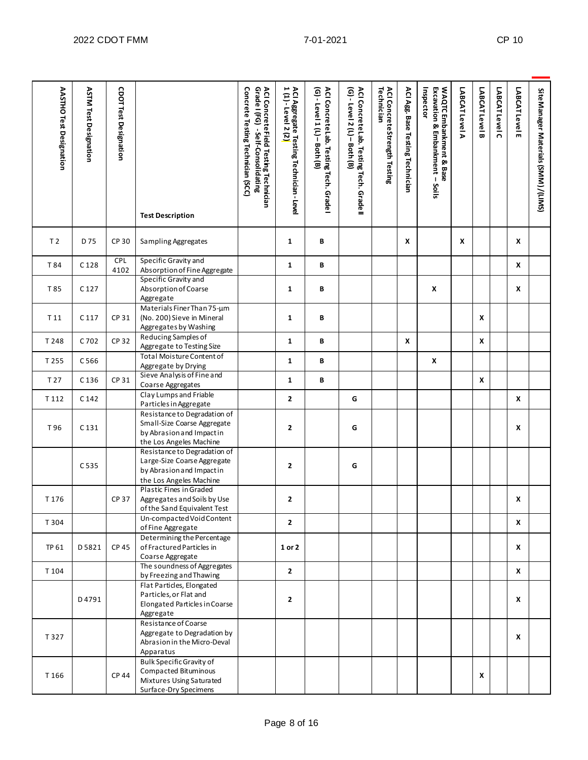| <b>AASTHO Test Designation</b> | <b>ASTM Test Designation</b> | <b>CDOT Test Designation</b> | <b>Test Description</b>                                                                                             | Concrete Testing Technician (SCC)<br>ACI Concrete Field Testing Technician<br>Grade I (FG)  - Self-Consolidating | ACI Aggregate Testing Technician - Level<br>1 (1) - Level 2 (2) | ACI Concrete Lab. Testing Tech. Grade I<br>(G) - Level 1 (L) - Both (B) | ACI Concrete Lab. Testing<br>(G) - Level 2 (L) – Both (B)<br>Tech. Grade | ACI Concrete Strength Testing<br>Technician | ACI Agg. Base Testing Technician | WAQTC Embankment & Base<br>Inspector<br>Excavation & Embankment - Soils | LABCATLevel A | LABCAT Level B | LABCAT Level C | LABCAT Level E | SiteManager Materials (SMM) / (LIMS) |
|--------------------------------|------------------------------|------------------------------|---------------------------------------------------------------------------------------------------------------------|------------------------------------------------------------------------------------------------------------------|-----------------------------------------------------------------|-------------------------------------------------------------------------|--------------------------------------------------------------------------|---------------------------------------------|----------------------------------|-------------------------------------------------------------------------|---------------|----------------|----------------|----------------|--------------------------------------|
| T <sub>2</sub>                 | D 75                         | CP 30                        | Sampling Aggregates                                                                                                 |                                                                                                                  | 1                                                               | В                                                                       |                                                                          |                                             | X                                |                                                                         | X             |                |                | X              |                                      |
| T 84                           | C <sub>128</sub>             | <b>CPL</b><br>4102           | Specific Gravity and<br>Absorption of Fine Aggregate                                                                |                                                                                                                  | $\mathbf{1}$                                                    | В                                                                       |                                                                          |                                             |                                  |                                                                         |               |                |                | X              |                                      |
| T 85                           | C <sub>127</sub>             |                              | Specific Gravity and<br>Absorption of Coarse<br>Aggregate                                                           |                                                                                                                  | 1                                                               | В                                                                       |                                                                          |                                             |                                  | X                                                                       |               |                |                | X              |                                      |
| T 11                           | C <sub>117</sub>             | CP 31                        | Materials Finer Than 75-um<br>(No. 200) Sieve in Mineral<br>Aggregates by Washing                                   |                                                                                                                  | 1                                                               | В                                                                       |                                                                          |                                             |                                  |                                                                         |               | X              |                |                |                                      |
| T 248                          | C 702                        | CP 32                        | Reducing Samples of<br>Aggregate to Testing Size                                                                    |                                                                                                                  | $\mathbf{1}$                                                    | B                                                                       |                                                                          |                                             | $\pmb{\mathsf{x}}$               |                                                                         |               | X              |                |                |                                      |
| T 255                          | C 566                        |                              | <b>Total Moisture Content of</b><br>Aggregate by Drying                                                             |                                                                                                                  | $\mathbf{1}$                                                    | В                                                                       |                                                                          |                                             |                                  | X                                                                       |               |                |                |                |                                      |
| T 27                           | C136                         | CP 31                        | Sieve Analysis of Fine and<br>Coarse Aggregates                                                                     |                                                                                                                  | $\mathbf{1}$                                                    | В                                                                       |                                                                          |                                             |                                  |                                                                         |               | X              |                |                |                                      |
| T 112                          | C 142                        |                              | Clay Lumps and Friable<br>Particles in Aggregate                                                                    |                                                                                                                  | $\mathbf{2}$                                                    |                                                                         | G                                                                        |                                             |                                  |                                                                         |               |                |                | X              |                                      |
| T 96                           | C131                         |                              | Resistance to Degradation of<br>Small-Size Coarse Aggregate<br>by Abrasion and Impactin<br>the Los Angeles Machine  |                                                                                                                  | $\mathbf{2}$                                                    |                                                                         | G                                                                        |                                             |                                  |                                                                         |               |                |                | X              |                                      |
|                                | C 535                        |                              | Resistance to Degradation of<br>Large-Size Coarse Aggregate<br>by Abrasion and Impactin<br>the Los Angeles Machine  |                                                                                                                  | $\mathbf{2}$                                                    |                                                                         | G                                                                        |                                             |                                  |                                                                         |               |                |                |                |                                      |
| T 176                          |                              | <b>CP 37</b>                 | Plastic Fines in Graded<br>Aggregates and Soils by Use<br>of the Sand Equivalent Test                               |                                                                                                                  | $\overline{2}$                                                  |                                                                         |                                                                          |                                             |                                  |                                                                         |               |                |                | X              |                                      |
| T 304                          |                              |                              | Un-compacted Void Content<br>of Fine Aggregate                                                                      |                                                                                                                  | $\overline{2}$                                                  |                                                                         |                                                                          |                                             |                                  |                                                                         |               |                |                | X              |                                      |
| TP 61                          | D5821                        | CP 45                        | Determining the Percentage<br>of Fractured Particles in<br>Coarse Aggregate                                         |                                                                                                                  | 1 or 2                                                          |                                                                         |                                                                          |                                             |                                  |                                                                         |               |                |                | X              |                                      |
| T 104                          |                              |                              | The soundness of Aggregates<br>by Freezing and Thawing                                                              |                                                                                                                  | $\mathbf{2}$                                                    |                                                                         |                                                                          |                                             |                                  |                                                                         |               |                |                | x              |                                      |
|                                | D4791                        |                              | Flat Particles, Elongated<br>Particles, or Flat and<br>Elongated Particles in Coarse<br>Aggregate                   |                                                                                                                  | $\mathbf{2}$                                                    |                                                                         |                                                                          |                                             |                                  |                                                                         |               |                |                | X              |                                      |
| T 327                          |                              |                              | Resistance of Coarse<br>Aggregate to Degradation by<br>Abrasion in the Micro-Deval<br>Apparatus                     |                                                                                                                  |                                                                 |                                                                         |                                                                          |                                             |                                  |                                                                         |               |                |                | X              |                                      |
| T 166                          |                              | <b>CP 44</b>                 | <b>Bulk Specific Gravity of</b><br>Compacted Bituminous<br>Mixtures Using Saturated<br><b>Surface-Dry Specimens</b> |                                                                                                                  |                                                                 |                                                                         |                                                                          |                                             |                                  |                                                                         |               | X              |                |                |                                      |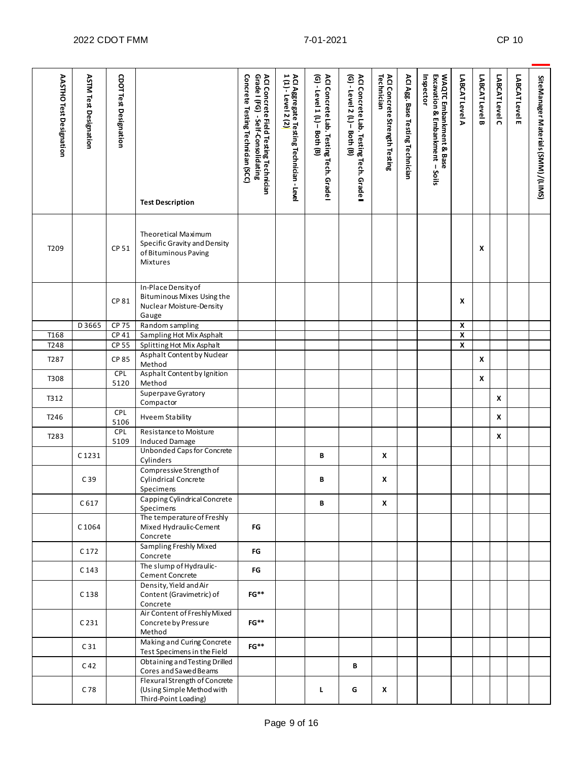| <b>AASTHO Test Designation</b> | <b>ASTM Test Designation</b>                                                                    | <b>CDOT Test Designation</b>    | <b>Test Description</b>                                                                 | Concrete Testing Technician (SCC)<br>ACI Concrete Field Testing Technician<br>Grade I (FG)  - Self-Consolidating | ACI Aggregate Testing Technician - Level<br>1 (1) - Level 2 (2 <mark>)</mark> | ACI Concrete Lab. Testing Tech. Grade I<br>(G) - Level 1 (L) - Both (B) | ACI Concrete Lab. Testing Tech. Grade II<br>(G) - Level 2 (L) - Both (B) | ACI Concrete Strength Testing<br>Technician | ACI Agg. Base Testing Technician | WAQTC Embankment & Base<br>Excavation & Embankment - Soils<br>Inspector | LABCAT Level A     | LABCAT Level B | LABCAT Level C | LABCAT Level E | SiteManager Materials (SMM) /(LIMS) |
|--------------------------------|-------------------------------------------------------------------------------------------------|---------------------------------|-----------------------------------------------------------------------------------------|------------------------------------------------------------------------------------------------------------------|-------------------------------------------------------------------------------|-------------------------------------------------------------------------|--------------------------------------------------------------------------|---------------------------------------------|----------------------------------|-------------------------------------------------------------------------|--------------------|----------------|----------------|----------------|-------------------------------------|
| T <sub>209</sub>               |                                                                                                 | CP 51                           | Theoretical Maximum<br>Specific Gravity and Density<br>of Bituminous Paving<br>Mixtures |                                                                                                                  |                                                                               |                                                                         |                                                                          |                                             |                                  |                                                                         |                    | x              |                |                |                                     |
|                                | In-Place Density of<br>Bituminous Mixes Using the<br>CP 81<br>Nuclear Moisture-Density<br>Gauge |                                 |                                                                                         |                                                                                                                  |                                                                               |                                                                         |                                                                          |                                             |                                  | X                                                                       |                    |                |                |                |                                     |
|                                | D 3665                                                                                          | CP 75                           | Random sampling                                                                         |                                                                                                                  |                                                                               |                                                                         |                                                                          |                                             |                                  |                                                                         | $\pmb{\mathsf{x}}$ |                |                |                |                                     |
| T168                           |                                                                                                 | CP 41                           | Sampling Hot Mix Asphalt                                                                |                                                                                                                  |                                                                               |                                                                         |                                                                          |                                             |                                  |                                                                         | $\pmb{\chi}$       |                |                |                |                                     |
|                                | T248<br>CP 55<br>Splitting Hot Mix Asphalt                                                      |                                 |                                                                                         |                                                                                                                  |                                                                               |                                                                         |                                                                          |                                             |                                  | $\overline{\mathbf{x}}$                                                 |                    |                |                |                |                                     |
| T287                           | Asphalt Content by Nuclear<br><b>CP 85</b><br>Method                                            |                                 |                                                                                         |                                                                                                                  |                                                                               |                                                                         |                                                                          |                                             |                                  |                                                                         | X                  |                |                |                |                                     |
| T308                           | Asphalt Content by Ignition<br>CPL<br>5120<br>Method                                            |                                 |                                                                                         |                                                                                                                  |                                                                               |                                                                         |                                                                          |                                             |                                  |                                                                         | X                  |                |                |                |                                     |
| T312                           |                                                                                                 | Superpave Gyratory<br>Compactor |                                                                                         |                                                                                                                  |                                                                               |                                                                         |                                                                          |                                             |                                  |                                                                         |                    |                | X              |                |                                     |
| T <sub>246</sub>               |                                                                                                 | CPL<br>5106                     | <b>Hveem Stability</b>                                                                  |                                                                                                                  |                                                                               |                                                                         |                                                                          |                                             |                                  |                                                                         |                    |                | x              |                |                                     |
| T283                           |                                                                                                 | CPL<br>5109                     | Resistance to Moisture<br><b>Induced Damage</b>                                         |                                                                                                                  |                                                                               |                                                                         |                                                                          |                                             |                                  |                                                                         |                    |                | X              |                |                                     |
|                                | C1231                                                                                           |                                 | <b>Unbonded Caps for Concrete</b><br>Cylinders                                          |                                                                                                                  |                                                                               | В                                                                       |                                                                          | X                                           |                                  |                                                                         |                    |                |                |                |                                     |
|                                | C39                                                                                             |                                 | Compressive Strength of<br><b>Cylindrical Concrete</b><br>Specimens                     |                                                                                                                  |                                                                               | В                                                                       |                                                                          | X                                           |                                  |                                                                         |                    |                |                |                |                                     |
|                                | C617                                                                                            |                                 | Capping Cylindrical Concrete<br>Specimens                                               |                                                                                                                  |                                                                               | В                                                                       |                                                                          | X                                           |                                  |                                                                         |                    |                |                |                |                                     |
|                                | C1064                                                                                           |                                 | The temperature of Freshly<br>Mixed Hydraulic-Cement<br>Concrete                        | FG                                                                                                               |                                                                               |                                                                         |                                                                          |                                             |                                  |                                                                         |                    |                |                |                |                                     |
|                                | C <sub>172</sub>                                                                                |                                 | Sampling Freshly Mixed<br>Concrete                                                      | FG                                                                                                               |                                                                               |                                                                         |                                                                          |                                             |                                  |                                                                         |                    |                |                |                |                                     |
|                                | C <sub>143</sub>                                                                                |                                 | The slump of Hydraulic-<br>Cement Concrete                                              | FG                                                                                                               |                                                                               |                                                                         |                                                                          |                                             |                                  |                                                                         |                    |                |                |                |                                     |
|                                | C138                                                                                            |                                 | Density, Yield and Air<br>Content (Gravimetric) of<br>Concrete                          | $FG**$                                                                                                           |                                                                               |                                                                         |                                                                          |                                             |                                  |                                                                         |                    |                |                |                |                                     |
|                                | C <sub>231</sub>                                                                                |                                 | Air Content of Freshly Mixed<br>Concrete by Pressure<br>Method                          | $FG**$                                                                                                           |                                                                               |                                                                         |                                                                          |                                             |                                  |                                                                         |                    |                |                |                |                                     |
|                                | C <sub>31</sub>                                                                                 |                                 | Making and Curing Concrete<br>Test Specimens in the Field                               | $FG**$                                                                                                           |                                                                               |                                                                         |                                                                          |                                             |                                  |                                                                         |                    |                |                |                |                                     |
|                                | C <sub>42</sub>                                                                                 |                                 | Obtaining and Testing Drilled<br>Cores and Sawed Beams                                  |                                                                                                                  |                                                                               |                                                                         | В                                                                        |                                             |                                  |                                                                         |                    |                |                |                |                                     |
|                                | C78                                                                                             |                                 | Flexural Strength of Concrete<br>(Using Simple Method with<br>Third-Point Loading)      |                                                                                                                  |                                                                               | L                                                                       | G                                                                        | x                                           |                                  |                                                                         |                    |                |                |                |                                     |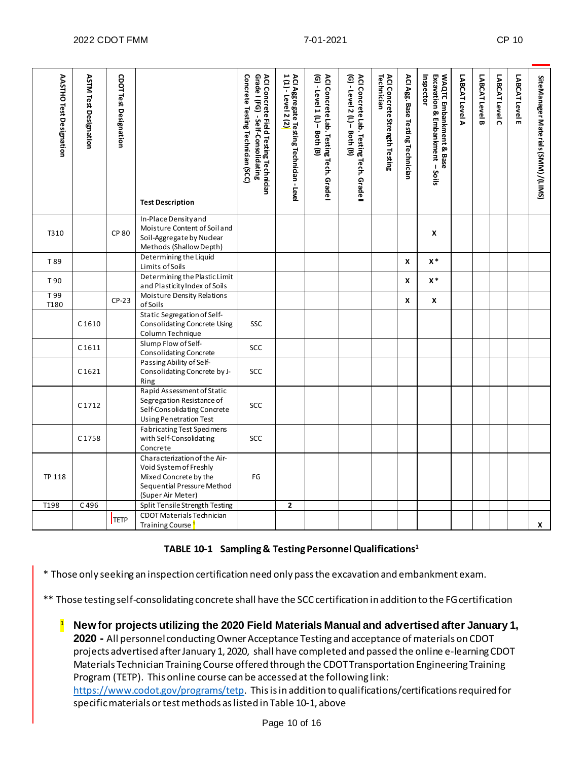| <b>AASTHO Test Designation</b> | <b>ASTM Test Designation</b>              | <b>CDOT Test Designation</b> | <b>Test Description</b>                                                                                                            | ACI Concrete Field Testing Technician<br>Grade I (FG)  - Self-Consolidating<br>Concrete Testing Technician (SCC) | ACI Aggregate Testing Technician - Level<br>1 (1) - Level 2 (2 <mark>)</mark> | ACI Concrete Lab. Testing Tech. Grade I<br>(G) - Level 1 (L) - Both (B) | ACI Concrete Lab. Testing Tech. Grade I<br>(G) - Level 2 (L) - Both (B) | ACI Concrete Strength Testing<br>Technician | ACI Agg. Base Testing Technician | <b>WAQTC Embankment &amp; Base</b><br>Excavation & Embankment - Soils<br>Inspector | LABCAT Level A | LABCAT Level B | LABCAT Level C | LABCAT Level E | SiteManager Materials (SMM) / (LIMS) |
|--------------------------------|-------------------------------------------|------------------------------|------------------------------------------------------------------------------------------------------------------------------------|------------------------------------------------------------------------------------------------------------------|-------------------------------------------------------------------------------|-------------------------------------------------------------------------|-------------------------------------------------------------------------|---------------------------------------------|----------------------------------|------------------------------------------------------------------------------------|----------------|----------------|----------------|----------------|--------------------------------------|
| T310                           |                                           | <b>CP 80</b>                 | In-Place Density and<br>Moisture Content of Soil and<br>Soil-Aggregate by Nuclear<br>Methods (Shallow Depth)                       |                                                                                                                  |                                                                               |                                                                         |                                                                         |                                             |                                  | X                                                                                  |                |                |                |                |                                      |
| T 89                           | Determining the Liquid<br>Limits of Soils |                              |                                                                                                                                    |                                                                                                                  |                                                                               |                                                                         |                                                                         | X                                           | $\mathsf{X}^{\,*}$               |                                                                                    |                |                |                |                |                                      |
| T 90                           |                                           |                              | Determining the Plastic Limit<br>and Plasticity Index of Soils                                                                     |                                                                                                                  |                                                                               |                                                                         |                                                                         |                                             | X                                | $x *$                                                                              |                |                |                |                |                                      |
| T 99<br>T180                   |                                           | $CP-23$                      | Moisture Density Relations<br>of Soils                                                                                             |                                                                                                                  |                                                                               |                                                                         |                                                                         |                                             | X                                | X                                                                                  |                |                |                |                |                                      |
|                                | C1610                                     |                              | Static Segregation of Self-<br><b>Consolidating Concrete Using</b><br>Column Technique                                             | SSC                                                                                                              |                                                                               |                                                                         |                                                                         |                                             |                                  |                                                                                    |                |                |                |                |                                      |
|                                | C1611                                     |                              | Slump Flow of Self-<br>Consolidating Concrete                                                                                      | <b>SCC</b>                                                                                                       |                                                                               |                                                                         |                                                                         |                                             |                                  |                                                                                    |                |                |                |                |                                      |
|                                | C1621                                     |                              | Passing Ability of Self-<br>Consolidating Concrete by J-<br>Ring                                                                   | SCC                                                                                                              |                                                                               |                                                                         |                                                                         |                                             |                                  |                                                                                    |                |                |                |                |                                      |
|                                | C1712                                     |                              | Rapid Assessment of Static<br>Segregation Resistance of<br>Self-Consolidating Concrete<br>Using Penetration Test                   | <b>SCC</b>                                                                                                       |                                                                               |                                                                         |                                                                         |                                             |                                  |                                                                                    |                |                |                |                |                                      |
|                                | C1758                                     |                              | <b>Fabricating Test Specimens</b><br>with Self-Consolidating<br>Concrete                                                           | SCC                                                                                                              |                                                                               |                                                                         |                                                                         |                                             |                                  |                                                                                    |                |                |                |                |                                      |
| <b>TP 118</b>                  |                                           |                              | Characterization of the Air-<br>Void System of Freshly<br>Mixed Concrete by the<br>Sequential Pressure Method<br>(Super Air Meter) | FG                                                                                                               |                                                                               |                                                                         |                                                                         |                                             |                                  |                                                                                    |                |                |                |                |                                      |
| T198                           | C496                                      |                              | Split Tensile Strength Testing                                                                                                     |                                                                                                                  | $\overline{2}$                                                                |                                                                         |                                                                         |                                             |                                  |                                                                                    |                |                |                |                |                                      |
|                                |                                           | <b>TETP</b>                  | CDOT Materials Technician<br>Training Course                                                                                       |                                                                                                                  |                                                                               |                                                                         |                                                                         |                                             |                                  |                                                                                    |                |                |                |                | X                                    |

### **TABLE 10-1 Sampling & Testing Personnel Qualifications1**

\* Those only seeking an inspection certification need only pass the excavation and embankment exam.

\*\* Those testing self-consolidating concrete shall have the SCC certification in addition to the FG certification

**<sup>1</sup> New for projects utilizing the 2020 Field Materials Manual and advertised after January 1, 2020 -** All personnel conducting Owner Acceptance Testing and acceptance of materials on CDOT projects advertised after January 1, 2020, shall have completed and passed the online e-learning CDOT Materials Technician Training Course offered through the CDOT Transportation Engineering Training Program (TETP). This online course can be accessed at the following link:

<https://www.codot.gov/programs/tetp>. This is in addition to qualifications/certifications required for specific materials or test methods as listed in Table 10-1, above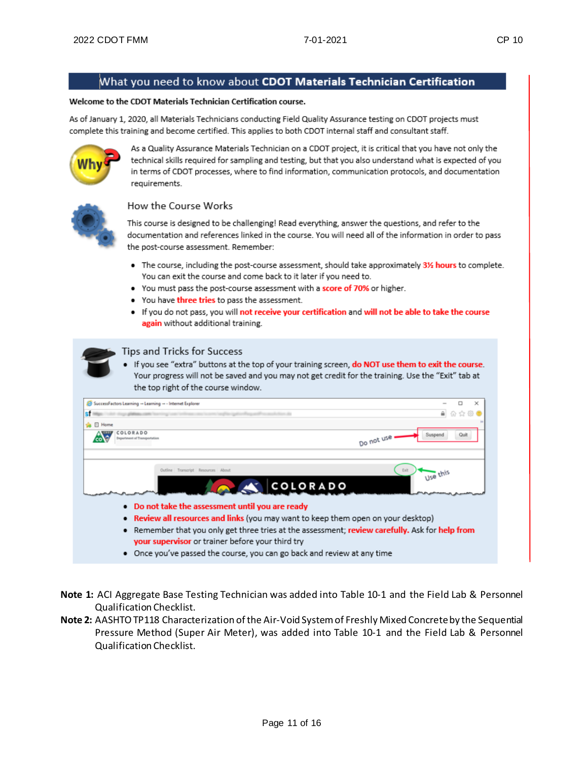## What you need to know about CDOT Materials Technician Certification

#### Welcome to the CDOT Materials Technician Certification course.

As of January 1, 2020, all Materials Technicians conducting Field Quality Assurance testing on CDOT projects must complete this training and become certified. This applies to both CDOT internal staff and consultant staff.



As a Quality Assurance Materials Technician on a CDOT project, it is critical that you have not only the technical skills required for sampling and testing, but that you also understand what is expected of you in terms of CDOT processes, where to find information, communication protocols, and documentation requirements.



#### How the Course Works

This course is designed to be challenging! Read everything, answer the questions, and refer to the documentation and references linked in the course. You will need all of the information in order to pass the post-course assessment. Remember:

- The course, including the post-course assessment, should take approximately 31% hours to complete. You can exit the course and come back to it later if you need to.
- You must pass the post-course assessment with a score of 70% or higher.
- You have three tries to pass the assessment.
- . If you do not pass, you will not receive your certification and will not be able to take the course again without additional training.



#### Tips and Tricks for Success

If you see "extra" buttons at the top of your training screen, do NOT use them to exit the course. Your progress will not be saved and you may not get credit for the training. Use the "Exit" tab at the top right of the course window.

| SuccessFactors Learning - Learning - - Internet Explorer                          |                                                                                               |
|-----------------------------------------------------------------------------------|-----------------------------------------------------------------------------------------------|
|                                                                                   |                                                                                               |
| <b>SALE</b> Home                                                                  |                                                                                               |
| COLORADO<br>weartment of Transportation                                           | Quit<br>Suspend<br>Do not use                                                                 |
| Outline Transcript Resources About                                                | Exit<br>11se this                                                                             |
|                                                                                   | COLORADO                                                                                      |
| • Do not take the assessment until you are ready                                  |                                                                                               |
| • Review all resources and links (you may want to keep them open on your desktop) |                                                                                               |
| ٠                                                                                 | Remember that you only get three tries at the assessment; review carefully. Ask for help from |
| your supervisor or trainer before your third try                                  |                                                                                               |
|                                                                                   |                                                                                               |

• Once you've passed the course, you can go back and review at any time

**Note 1:** ACI Aggregate Base Testing Technician was added into Table 10-1 and the Field Lab & Personnel Qualification Checklist.

**Note 2:** AASHTO TP118 Characterization of the Air-Void System of Freshly Mixed Concrete by the Sequential Pressure Method (Super Air Meter), was added into Table 10-1 and the Field Lab & Personnel Qualification Checklist.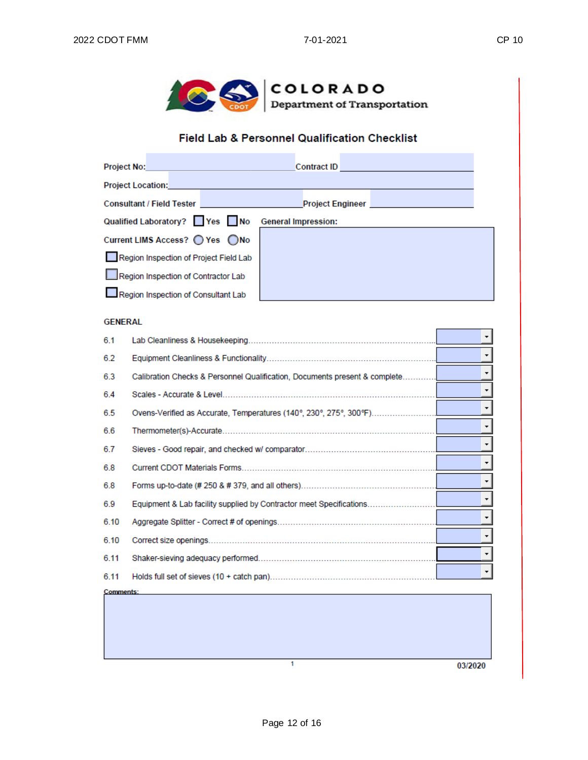

## Field Lab & Personnel Qualification Checklist

| <b>Project No:</b>                               | Contract ID <b>Contract ID</b>                                                                   |  |  |  |  |  |  |  |  |
|--------------------------------------------------|--------------------------------------------------------------------------------------------------|--|--|--|--|--|--|--|--|
| <b>Project Location:</b>                         |                                                                                                  |  |  |  |  |  |  |  |  |
|                                                  | Consultant / Field Tester <b>Consultant / Field Tester Action</b> Action Action Project Engineer |  |  |  |  |  |  |  |  |
| Qualified Laboratory? Yes No General Impression: |                                                                                                  |  |  |  |  |  |  |  |  |
| Current LIMS Access? ◯ Yes ◯ No                  |                                                                                                  |  |  |  |  |  |  |  |  |
| Region Inspection of Project Field Lab           |                                                                                                  |  |  |  |  |  |  |  |  |
| Region Inspection of Contractor Lab              |                                                                                                  |  |  |  |  |  |  |  |  |
| Region Inspection of Consultant Lab              |                                                                                                  |  |  |  |  |  |  |  |  |

#### **GENERAL**

| 6.1              |                                                                            |    |
|------------------|----------------------------------------------------------------------------|----|
| 6.2              |                                                                            |    |
| 6.3              | Calibration Checks & Personnel Qualification, Documents present & complete |    |
| 6.4              |                                                                            |    |
| 6.5              | Ovens-Verified as Accurate, Temperatures (140°, 230°, 275°, 300°F)         |    |
| 6.6              | Thermometer(s)-Accurate                                                    |    |
| 6.7              |                                                                            |    |
| 6.8              |                                                                            |    |
| 6.8              |                                                                            |    |
| 6.9              |                                                                            |    |
| 6.10             |                                                                            |    |
| 6.10             |                                                                            | ▾∣ |
| 6.11             |                                                                            |    |
| 6.11             |                                                                            |    |
| <b>Comments:</b> |                                                                            |    |
|                  |                                                                            |    |

03/2020

 $\overline{1}$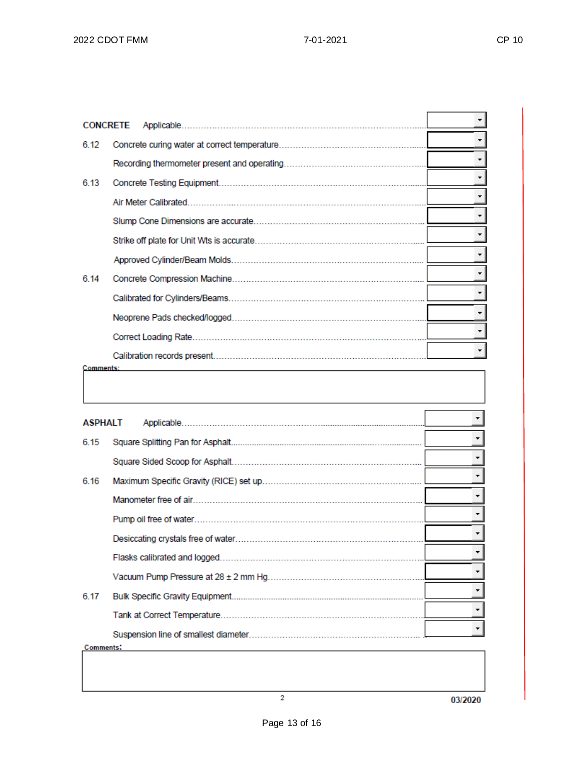|                  | <b>CONCRETE</b> |                          |
|------------------|-----------------|--------------------------|
| 6.12             |                 |                          |
|                  |                 |                          |
| 6.13             |                 |                          |
|                  |                 |                          |
|                  |                 |                          |
|                  |                 | $\blacktriangledown$     |
|                  |                 | $\overline{\phantom{a}}$ |
| 6.14             |                 | $\overline{\phantom{a}}$ |
|                  |                 | $\vert$                  |
|                  |                 | ▾╎                       |
|                  |                 | $\overline{\phantom{a}}$ |
|                  |                 | $\blacktriangledown$     |
| <b>Comments:</b> |                 |                          |
|                  |                 |                          |
|                  |                 |                          |
| ASPHALT          |                 | $\overline{\phantom{a}}$ |
| 6.15             |                 | $\overline{\phantom{a}}$ |
|                  |                 |                          |
| 6.16             |                 | $\overline{\phantom{a}}$ |
|                  |                 | ۰                        |
|                  |                 | ۳                        |
|                  |                 |                          |
|                  |                 | ▼                        |
|                  |                 |                          |
|                  |                 |                          |
| 6.17             |                 |                          |
|                  |                 |                          |

 $\overline{2}$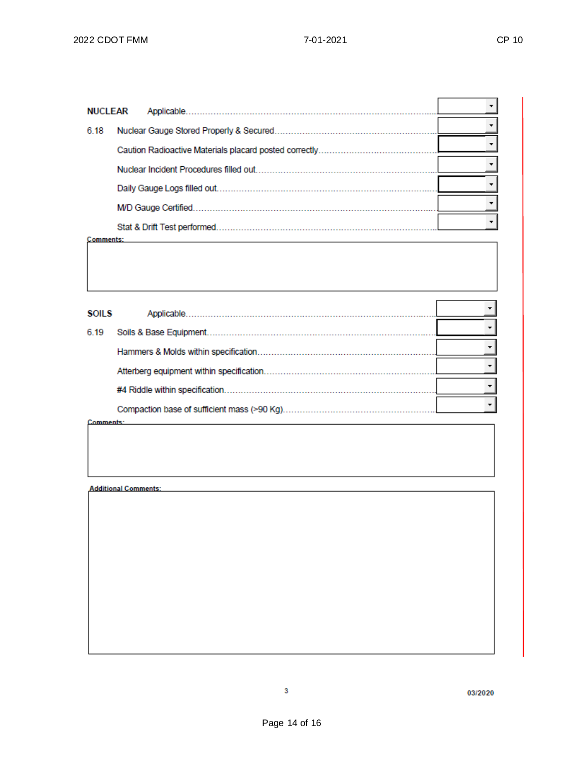| <b>NUCLEAR</b> |  |                             |  |
|----------------|--|-----------------------------|--|
| 6.18           |  |                             |  |
|                |  |                             |  |
|                |  |                             |  |
|                |  |                             |  |
|                |  |                             |  |
|                |  | Stat & Drift Test performed |  |
| Comments:      |  |                             |  |

| <b>SOILS</b> |                                             |  |
|--------------|---------------------------------------------|--|
| 6.19         | Soils & Base Equipment.                     |  |
|              |                                             |  |
|              |                                             |  |
|              |                                             |  |
|              | Compaction base of sufficient mass (>90 Kg) |  |

Comments:

**Additional Comments:** 

03/2020

 $\overline{\mathbf{3}}$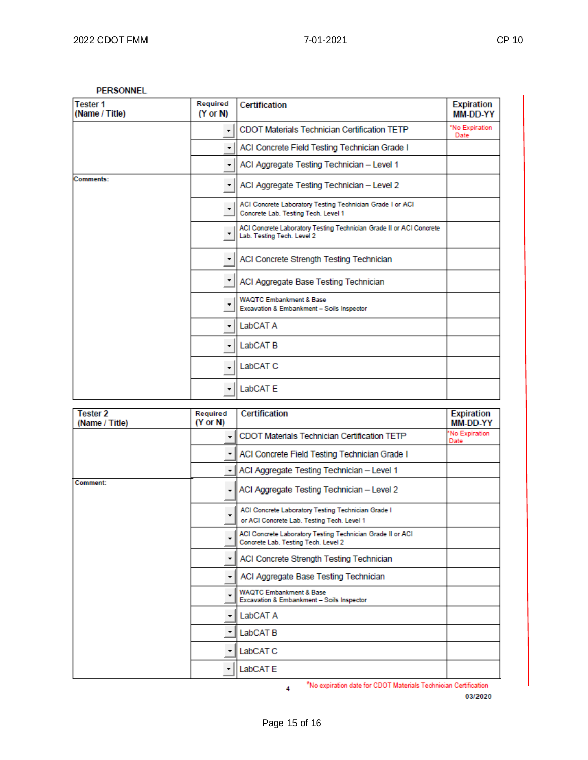#### **PERSONNEL**

| <b>Tester 1</b><br>(Name / Title) | Required<br>$(Y \text{ or } N)$ | <b>Certification</b>                                                                              | <b>Expiration</b><br>MM-DD-YY |
|-----------------------------------|---------------------------------|---------------------------------------------------------------------------------------------------|-------------------------------|
|                                   | ۰                               | <b>CDOT Materials Technician Certification TETP</b>                                               | 'No Expiration<br>Date        |
|                                   | ٠                               | ACI Concrete Field Testing Technician Grade I                                                     |                               |
|                                   | ۰                               | ACI Aggregate Testing Technician - Level 1                                                        |                               |
| Comments:                         | $\pmb{\cdot}$                   | ACI Aggregate Testing Technician - Level 2                                                        |                               |
|                                   |                                 | ACI Concrete Laboratory Testing Technician Grade I or ACI<br>Concrete Lab. Testing Tech. Level 1  |                               |
|                                   | $\overline{\phantom{a}}$        | ACI Concrete Laboratory Testing Technician Grade II or ACI Concrete<br>Lab. Testing Tech. Level 2 |                               |
|                                   | ٠                               | ACI Concrete Strength Testing Technician                                                          |                               |
|                                   | ٠                               | ACI Aggregate Base Testing Technician                                                             |                               |
|                                   | ۰                               | <b>WAQTC Embankment &amp; Base</b><br>Excavation & Embankment - Soils Inspector                   |                               |
|                                   | ٠                               | LabCAT A                                                                                          |                               |
|                                   | ٠                               | LabCAT <sub>B</sub>                                                                               |                               |
|                                   | ٠                               | LabCAT <sub>C</sub>                                                                               |                               |
|                                   | ٠                               | LabCAT E                                                                                          |                               |

| <b>Tester 2</b><br>(Name / Title) | Required<br>$(Y \text{ or } N)$ | Certification                                                                                     | <b>Expiration</b><br>MM-DD-YY |
|-----------------------------------|---------------------------------|---------------------------------------------------------------------------------------------------|-------------------------------|
|                                   | $\overline{\phantom{a}}$        | CDOT Materials Technician Certification TETP                                                      | 'No Expiration<br>Date        |
|                                   |                                 | ACI Concrete Field Testing Technician Grade I                                                     |                               |
|                                   | $\overline{\mathbf{r}}$         | ACI Aggregate Testing Technician - Level 1                                                        |                               |
| Comment:                          | ٠                               | ACI Aggregate Testing Technician - Level 2                                                        |                               |
|                                   |                                 | ACI Concrete Laboratory Testing Technician Grade I<br>or ACI Concrete Lab. Testing Tech. Level 1  |                               |
|                                   |                                 | ACI Concrete Laboratory Testing Technician Grade II or ACI<br>Concrete Lab. Testing Tech. Level 2 |                               |
|                                   | ٠                               | ACI Concrete Strength Testing Technician                                                          |                               |
|                                   | ۰,                              | ACI Aggregate Base Testing Technician                                                             |                               |
|                                   |                                 | <b>WAQTC Embankment &amp; Base</b><br>Excavation & Embankment - Soils Inspector                   |                               |
|                                   | ٠                               | LabCAT A                                                                                          |                               |
|                                   | $\overline{\phantom{a}}$        | LabCAT <sub>B</sub>                                                                               |                               |
|                                   |                                 | LabCAT <sub>C</sub>                                                                               |                               |
|                                   |                                 | LabCAT E                                                                                          |                               |

\*No expiration date for CDOT Materials Technician Certification  $\overline{4}$